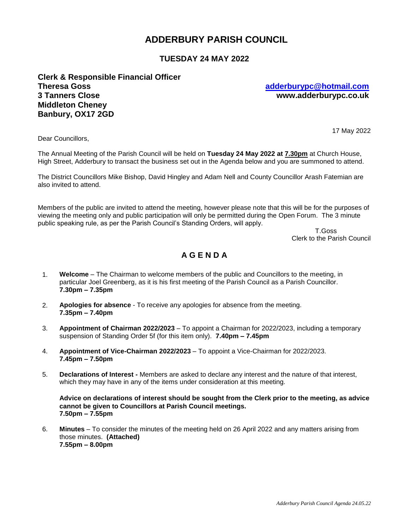# **ADDERBURY PARISH COUNCIL**

# **TUESDAY 24 MAY 2022**

**Clerk & Responsible Financial Officer Theresa Goss [adderburypc@hotmail.com](mailto:adderburypc@hotmail.com) 3 Tanners Close www.adderburypc.co.uk Middleton Cheney Banbury, OX17 2GD**

Dear Councillors,

17 May 2022

The Annual Meeting of the Parish Council will be held on **Tuesday 24 May 2022 at 7.30pm** at Church House, High Street, Adderbury to transact the business set out in the Agenda below and you are summoned to attend.

The District Councillors Mike Bishop, David Hingley and Adam Nell and County Councillor Arash Fatemian are also invited to attend.

Members of the public are invited to attend the meeting, however please note that this will be for the purposes of viewing the meeting only and public participation will only be permitted during the Open Forum. The 3 minute public speaking rule, as per the Parish Council's Standing Orders, will apply.

 T.Goss Clerk to the Parish Council

# **A G E N D A**

- 1. **Welcome** The Chairman to welcome members of the public and Councillors to the meeting, in particular Joel Greenberg, as it is his first meeting of the Parish Council as a Parish Councillor. **7.30pm – 7.35pm**
- 2. **Apologies for absence**  To receive any apologies for absence from the meeting. **7.35pm – 7.40pm**
- 3. **Appointment of Chairman 2022/2023** To appoint a Chairman for 2022/2023, including a temporary suspension of Standing Order 5f (for this item only). **7.40pm – 7.45pm**
- 4. **Appointment of Vice-Chairman 2022/2023** To appoint a Vice-Chairman for 2022/2023. **7.45pm – 7.50pm**
- 5. **Declarations of Interest -** Members are asked to declare any interest and the nature of that interest, which they may have in any of the items under consideration at this meeting.

**Advice on declarations of interest should be sought from the Clerk prior to the meeting, as advice cannot be given to Councillors at Parish Council meetings. 7.50pm – 7.55pm**

6. **Minutes** – To consider the minutes of the meeting held on 26 April 2022 and any matters arising from those minutes. **(Attached) 7.55pm – 8.00pm**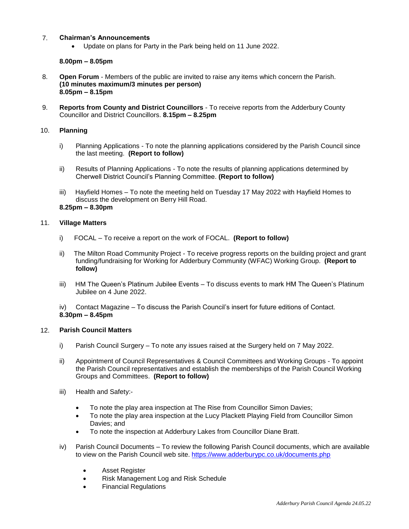### 7. **Chairman's Announcements**

Update on plans for Party in the Park being held on 11 June 2022.

### **8.00pm – 8.05pm**

- 8. **Open Forum** Members of the public are invited to raise any items which concern the Parish. **(10 minutes maximum/3 minutes per person) 8.05pm – 8.15pm**
- 9. **Reports from County and District Councillors** To receive reports from the Adderbury County Councillor and District Councillors. **8.15pm – 8.25pm**

### 10. **Planning**

- i) Planning Applications To note the planning applications considered by the Parish Council since the last meeting. **(Report to follow)**
- ii) Results of Planning Applications To note the results of planning applications determined by Cherwell District Council's Planning Committee. **(Report to follow)**
- iii) Hayfield Homes To note the meeting held on Tuesday 17 May 2022 with Hayfield Homes to discuss the development on Berry Hill Road.

## **8.25pm – 8.30pm**

### 11. **Village Matters**

- i) FOCAL To receive a report on the work of FOCAL. **(Report to follow)**
- ii) The Milton Road Community Project To receive progress reports on the building project and grant funding/fundraising for Working for Adderbury Community (WFAC) Working Group. **(Report to follow)**
- iii) HM The Queen's Platinum Jubilee Events To discuss events to mark HM The Queen's Platinum Jubilee on 4 June 2022.

iv) Contact Magazine – To discuss the Parish Council's insert for future editions of Contact. **8.30pm – 8.45pm**

# 12. **Parish Council Matters**

- i) Parish Council Surgery To note any issues raised at the Surgery held on 7 May 2022.
- ii) Appointment of Council Representatives & Council Committees and Working Groups To appoint the Parish Council representatives and establish the memberships of the Parish Council Working Groups and Committees. **(Report to follow)**
- iii) Health and Safety:-
	- To note the play area inspection at The Rise from Councillor Simon Davies;
	- To note the play area inspection at the Lucy Plackett Playing Field from Councillor Simon Davies; and
	- To note the inspection at Adderbury Lakes from Councillor Diane Bratt.
- iv) Parish Council Documents To review the following Parish Council documents, which are available to view on the Parish Council web site. <https://www.adderburypc.co.uk/documents.php>
	- Asset Register
	- Risk Management Log and Risk Schedule
	- Financial Regulations